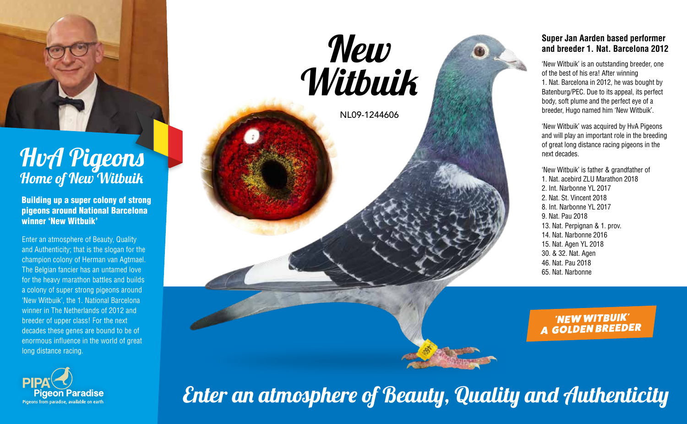

## HvA Pigeons Home of New Witbuik

Building up a super colony of strong pigeons around National Barcelona winner 'New Witbuik'

Enter an atmosphere of Beauty, Quality and Authenticity; that is the slogan for the champion colony of Herman van Agtmael. The Belgian fancier has an untamed love for the heavy marathon battles and builds a colony of super strong pigeons around 'New Witbuik', the 1. National Barcelona winner in The Netherlands of 2012 and breeder of upper class! For the next decades these genes are bound to be of enormous influence in the world of great long distance racing.





'New Witbuik' is an outstanding breeder, one of the best of his era! After winning 1. Nat. Barcelona in 2012, he was bought by Batenburg/PEC. Due to its appeal, its perfect body, soft plume and the perfect eye of a breeder, Hugo named him 'New Witbuik'.

'New Witbuik' was acquired by HvA Pigeons and will play an important role in the breeding of great long distance racing pigeons in the next decades.

'New Witbuik' is father & grandfather of 1. Nat. acebird ZLU Marathon 2018 2. Int. Narbonne YL 2017 2. Nat. St. Vincent 2018 8. Int. Narbonne YL 2017 9. Nat. Pau 2018 13. Nat. Perpignan & 1. prov. 14. Nat. Narbonne 2016 15. Nat. Agen YL 2018 30. & 32. Nat. Agen 46. Nat. Pau 2018 65. Nat. Narbonne

'NEW WITBUIK' A GOLDEN BREEDER

Enter an atmosphere of Beauty, Quality and Authenticity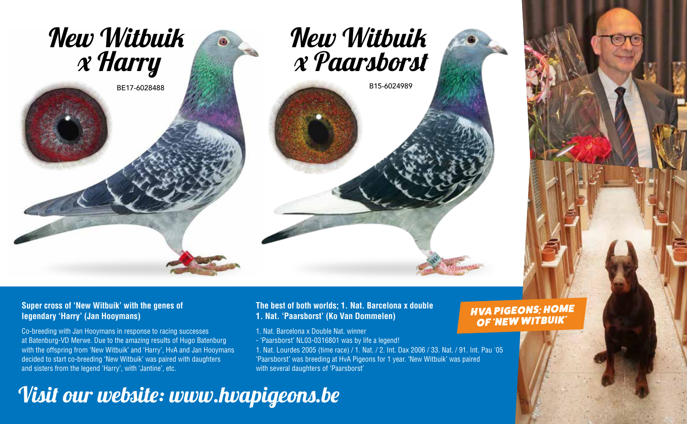



B15-6024989

HVA PIGEONS; HOME OF 'NEW WITBUIK'

### **Super cross of 'New Witbuik' with the genes of legendary 'Harry' (Jan Hooymans)**

Co-breeding with Jan Hooymans in response to racing successes at Batenburg-VD Merwe. Due to the amazing results of Hugo Batenburg with the offspring from 'New Witbuik' and 'Harry', HvA and Jan Hooymans decided to start co-breeding 'New Witbuik' was paired with daughters and sisters from the legend 'Harry', with 'Jantine', etc.

### **The best of both worlds; 1. Nat. Barcelona x double 1. Nat. 'Paarsborst' (Ko Van Dommelen)**

- 1. Nat. Barcelona x Double Nat. winner
- 'Paarsborst' NL03-0316801 was by life a legend!

1. Nat. Lourdes 2005 (time race) / 1. Nat. / 2. Int. Dax 2006 / 33. Nat. / 91. Int. Pau '05 'Paarsborst' was breeding at HvA Pigeons for 1 year. 'New Witbuik' was paired with several daughters of 'Paarsborst'

# Visit our website: www.hvapigeons.be